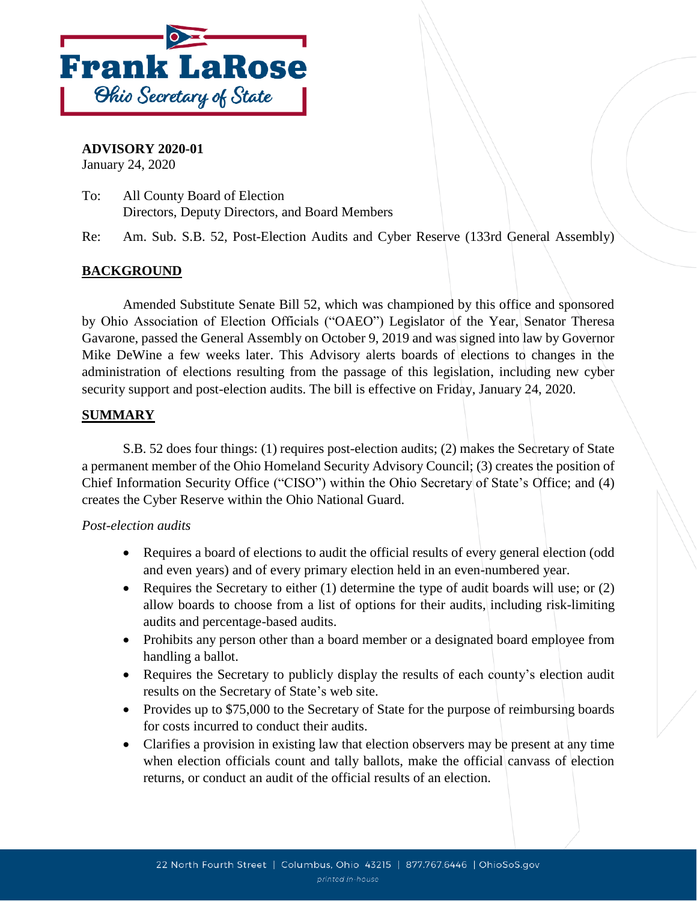

**ADVISORY 2020-01** January 24, 2020

To: All County Board of Election Directors, Deputy Directors, and Board Members

Re: Am. Sub. S.B. 52, Post-Election Audits and Cyber Reserve (133rd General Assembly)

# **BACKGROUND**

Amended Substitute Senate Bill 52, which was championed by this office and sponsored by Ohio Association of Election Officials ("OAEO") Legislator of the Year, Senator Theresa Gavarone, passed the General Assembly on October 9, 2019 and was signed into law by Governor Mike DeWine a few weeks later. This Advisory alerts boards of elections to changes in the administration of elections resulting from the passage of this legislation, including new cyber security support and post-election audits. The bill is effective on Friday, January 24, 2020.

## **SUMMARY**

S.B. 52 does four things: (1) requires post-election audits; (2) makes the Secretary of State a permanent member of the Ohio Homeland Security Advisory Council; (3) creates the position of Chief Information Security Office ("CISO") within the Ohio Secretary of State's Office; and (4) creates the Cyber Reserve within the Ohio National Guard.

#### *Post-election audits*

- Requires a board of elections to audit the official results of every general election (odd and even years) and of every primary election held in an even-numbered year.
- Requires the Secretary to either  $(1)$  determine the type of audit boards will use; or  $(2)$ allow boards to choose from a list of options for their audits, including risk-limiting audits and percentage-based audits.
- Prohibits any person other than a board member or a designated board employee from handling a ballot.
- Requires the Secretary to publicly display the results of each county's election audit results on the Secretary of State's web site.
- Provides up to \$75,000 to the Secretary of State for the purpose of reimbursing boards for costs incurred to conduct their audits.
- Clarifies a provision in existing law that election observers may be present at any time when election officials count and tally ballots, make the official canvass of election returns, or conduct an audit of the official results of an election.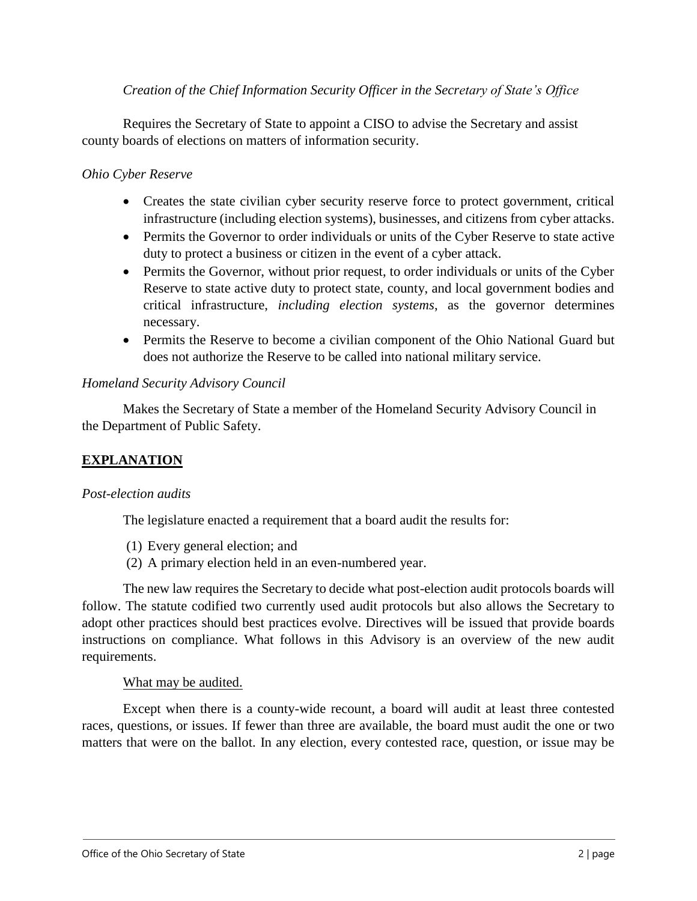## *Creation of the Chief Information Security Officer in the Secretary of State's Office*

Requires the Secretary of State to appoint a CISO to advise the Secretary and assist county boards of elections on matters of information security.

### *Ohio Cyber Reserve*

- Creates the state civilian cyber security reserve force to protect government, critical infrastructure (including election systems), businesses, and citizens from cyber attacks.
- Permits the Governor to order individuals or units of the Cyber Reserve to state active duty to protect a business or citizen in the event of a cyber attack.
- Permits the Governor, without prior request, to order individuals or units of the Cyber Reserve to state active duty to protect state, county, and local government bodies and critical infrastructure, *including election systems*, as the governor determines necessary.
- Permits the Reserve to become a civilian component of the Ohio National Guard but does not authorize the Reserve to be called into national military service.

### *Homeland Security Advisory Council*

Makes the Secretary of State a member of the Homeland Security Advisory Council in the Department of Public Safety.

## **EXPLANATION**

#### *Post-election audits*

The legislature enacted a requirement that a board audit the results for:

- (1) Every general election; and
- (2) A primary election held in an even-numbered year.

The new law requires the Secretary to decide what post-election audit protocols boards will follow. The statute codified two currently used audit protocols but also allows the Secretary to adopt other practices should best practices evolve. Directives will be issued that provide boards instructions on compliance. What follows in this Advisory is an overview of the new audit requirements.

## What may be audited.

Except when there is a county-wide recount, a board will audit at least three contested races, questions, or issues. If fewer than three are available, the board must audit the one or two matters that were on the ballot. In any election, every contested race, question, or issue may be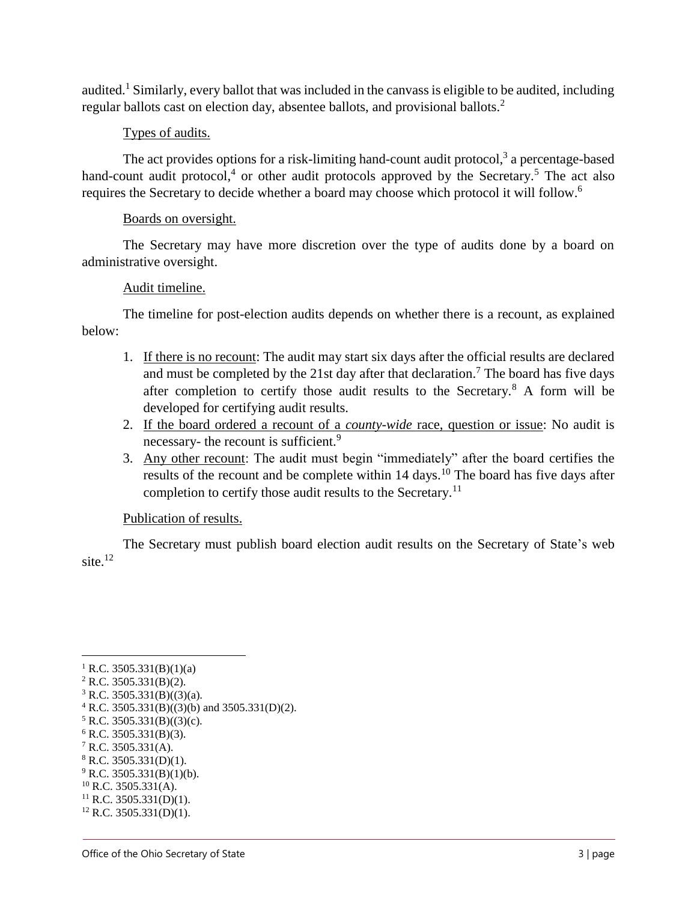audited.<sup>1</sup> Similarly, every ballot that was included in the canvass is eligible to be audited, including regular ballots cast on election day, absentee ballots, and provisional ballots.<sup>2</sup>

## Types of audits.

The act provides options for a risk-limiting hand-count audit protocol, $3$  a percentage-based hand-count audit protocol,<sup>4</sup> or other audit protocols approved by the Secretary.<sup>5</sup> The act also requires the Secretary to decide whether a board may choose which protocol it will follow.<sup>6</sup>

## Boards on oversight.

The Secretary may have more discretion over the type of audits done by a board on administrative oversight.

## Audit timeline.

The timeline for post-election audits depends on whether there is a recount, as explained below:

- 1. If there is no recount: The audit may start six days after the official results are declared and must be completed by the 21st day after that declaration.<sup>7</sup> The board has five days after completion to certify those audit results to the Secretary.<sup>8</sup> A form will be developed for certifying audit results.
- 2. If the board ordered a recount of a *county-wide* race, question or issue: No audit is necessary- the recount is sufficient.<sup>9</sup>
- 3. Any other recount: The audit must begin "immediately" after the board certifies the results of the recount and be complete within  $14 \text{ days}$ .<sup>10</sup> The board has five days after completion to certify those audit results to the Secretary.<sup>11</sup>

## Publication of results.

The Secretary must publish board election audit results on the Secretary of State's web site $^{12}$ 

 $\overline{a}$ 

- $6$  R.C. 3505.331(B)(3).
- $7$  R.C. 3505.331(A).

<sup>&</sup>lt;sup>1</sup> R.C. 3505.331(B)(1)(a)

 $2$  R.C. 3505.331(B)(2).

 $3$  R.C. 3505.331(B)((3)(a).

 $4$  R.C. 3505.331(B)((3)(b) and 3505.331(D)(2).

 $5$  R.C. 3505.331(B)((3)(c).

 $8$  R.C. 3505.331(D)(1).

 $^{9}$  R.C. 3505.331(B)(1)(b).

 $10$  R.C. 3505.331(A).

 $11$  R.C. 3505.331(D)(1).

 $12$  R.C. 3505.331(D)(1).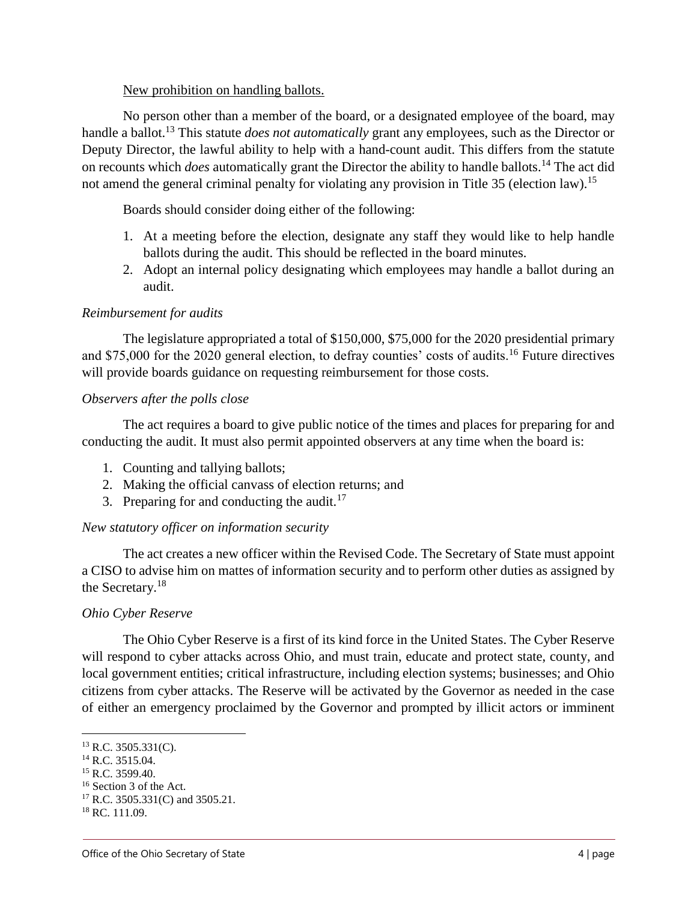#### New prohibition on handling ballots.

No person other than a member of the board, or a designated employee of the board, may handle a ballot.<sup>13</sup> This statute *does not automatically* grant any employees, such as the Director or Deputy Director, the lawful ability to help with a hand-count audit. This differs from the statute on recounts which *does* automatically grant the Director the ability to handle ballots.<sup>14</sup> The act did not amend the general criminal penalty for violating any provision in Title 35 (election law).<sup>15</sup>

Boards should consider doing either of the following:

- 1. At a meeting before the election, designate any staff they would like to help handle ballots during the audit. This should be reflected in the board minutes.
- 2. Adopt an internal policy designating which employees may handle a ballot during an audit.

## *Reimbursement for audits*

The legislature appropriated a total of \$150,000, \$75,000 for the 2020 presidential primary and \$75,000 for the 2020 general election, to defray counties' costs of audits.<sup>16</sup> Future directives will provide boards guidance on requesting reimbursement for those costs.

## *Observers after the polls close*

The act requires a board to give public notice of the times and places for preparing for and conducting the audit. It must also permit appointed observers at any time when the board is:

- 1. Counting and tallying ballots;
- 2. Making the official canvass of election returns; and
- 3. Preparing for and conducting the audit.<sup>17</sup>

# *New statutory officer on information security*

The act creates a new officer within the Revised Code. The Secretary of State must appoint a CISO to advise him on mattes of information security and to perform other duties as assigned by the Secretary.<sup>18</sup>

## *Ohio Cyber Reserve*

The Ohio Cyber Reserve is a first of its kind force in the United States. The Cyber Reserve will respond to cyber attacks across Ohio, and must train, educate and protect state, county, and local government entities; critical infrastructure, including election systems; businesses; and Ohio citizens from cyber attacks. The Reserve will be activated by the Governor as needed in the case of either an emergency proclaimed by the Governor and prompted by illicit actors or imminent

 $\overline{a}$ 

 $13$  R.C. 3505.331(C).

<sup>14</sup> R.C. 3515.04.

<sup>&</sup>lt;sup>15</sup> R.C. 3599.40.

<sup>16</sup> Section 3 of the Act.

<sup>17</sup> R.C. 3505.331(C) and 3505.21.

<sup>&</sup>lt;sup>18</sup> RC. 111.09.